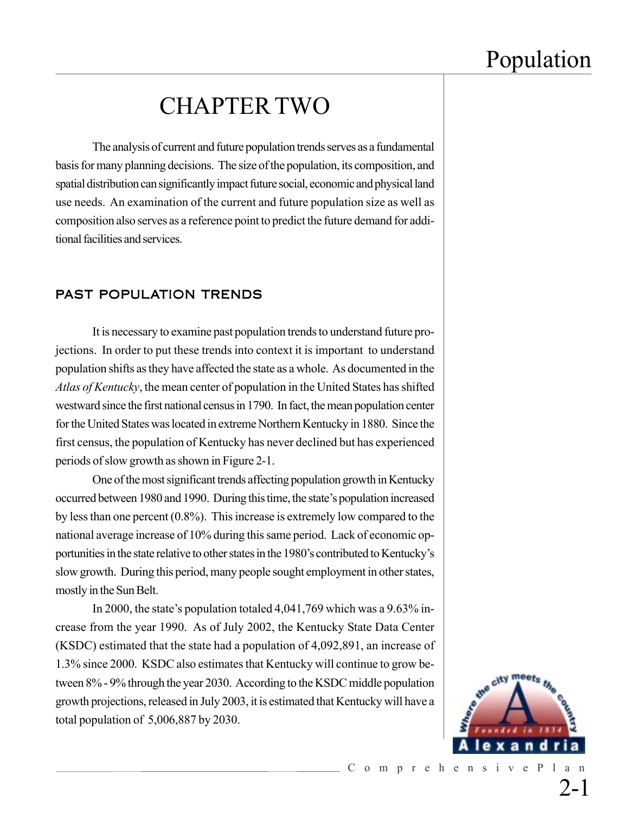### CHAPTER TWO

The analysis of current and future population trends serves as a fundamental basis for many planning decisions. The size of the population, its composition, and spatial distribution can significantly impact future social, economic and physical land use needs. An examination of the current and future population size as well as composition also serves as a reference point to predict the future demand for additional facilities and services.

#### PAST POPULATION TRENDS

It is necessary to examine past population trends to understand future projections. In order to put these trends into context it is important to understand population shifts as they have affected the state as a whole. As documented in the *Atlas of Kentucky*, the mean center of population in the United States has shifted westward since the first national census in 1790. In fact, the mean population center for the United States was located in extreme Northern Kentucky in 1880. Since the first census, the population of Kentucky has never declined but has experienced periods of slow growth as shown in Figure 2-1.

One of the most significant trends affecting population growth in Kentucky occurred between 1980 and 1990. During this time, the state's population increased by less than one percent (0.8%). This increase is extremely low compared to the national average increase of 10% during this same period. Lack of economic opportunities in the state relative to other states in the 1980's contributed to Kentucky's slow growth. During this period, many people sought employment in other states, mostly in the Sun Belt.

In 2000, the state's population totaled 4,041,769 which was a 9.63% increase from the year 1990. As of July 2002, the Kentucky State Data Center (KSDC) estimated that the state had a population of 4,092,891, an increase of 1.3% since 2000. KSDC also estimates that Kentucky will continue to grow between 8% - 9% through the year 2030. According to the KSDC middle population growth projections, released in July 2003, it is estimated that Kentucky will have a total population of 5,006,887 by 2030.



2-1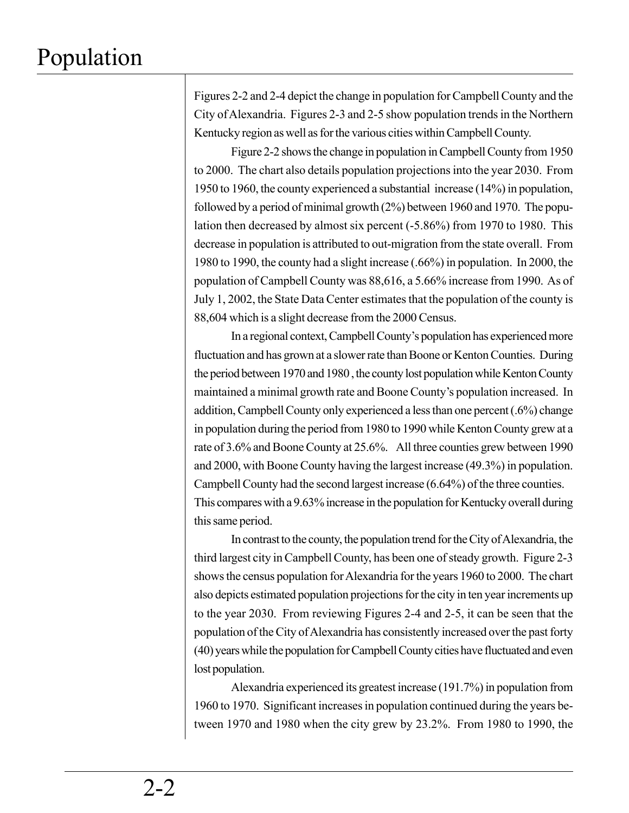Figures 2-2 and 2-4 depict the change in population for Campbell County and the City of Alexandria. Figures 2-3 and 2-5 show population trends in the Northern Kentucky region as well as for the various cities within Campbell County.

Figure 2-2 shows the change in population in Campbell County from 1950 to 2000. The chart also details population projections into the year 2030. From 1950 to 1960, the county experienced a substantial increase (14%) in population, followed by a period of minimal growth (2%) between 1960 and 1970. The population then decreased by almost six percent (-5.86%) from 1970 to 1980. This decrease in population is attributed to out-migration from the state overall. From 1980 to 1990, the county had a slight increase (.66%) in population. In 2000, the population of Campbell County was 88,616, a 5.66% increase from 1990. As of July 1, 2002, the State Data Center estimates that the population of the county is 88,604 which is a slight decrease from the 2000 Census.

In a regional context, Campbell County's population has experienced more fluctuation and has grown at a slower rate than Boone or Kenton Counties. During the period between 1970 and 1980 , the county lost population while Kenton County maintained a minimal growth rate and Boone County's population increased. In addition, Campbell County only experienced a less than one percent (.6%) change in population during the period from 1980 to 1990 while Kenton County grew at a rate of 3.6% and Boone County at 25.6%. All three counties grew between 1990 and 2000, with Boone County having the largest increase (49.3%) in population. Campbell County had the second largest increase (6.64%) of the three counties. This compares with a 9.63% increase in the population for Kentucky overall during this same period.

In contrast to the county, the population trend for the City of Alexandria, the third largest city in Campbell County, has been one of steady growth. Figure 2-3 shows the census population for Alexandria for the years 1960 to 2000. The chart also depicts estimated population projections for the city in ten year increments up to the year 2030. From reviewing Figures 2-4 and 2-5, it can be seen that the population of the City of Alexandria has consistently increased over the past forty (40) years while the population for Campbell County cities have fluctuated and even lost population.

Alexandria experienced its greatest increase (191.7%) in population from 1960 to 1970. Significant increases in population continued during the years between 1970 and 1980 when the city grew by 23.2%. From 1980 to 1990, the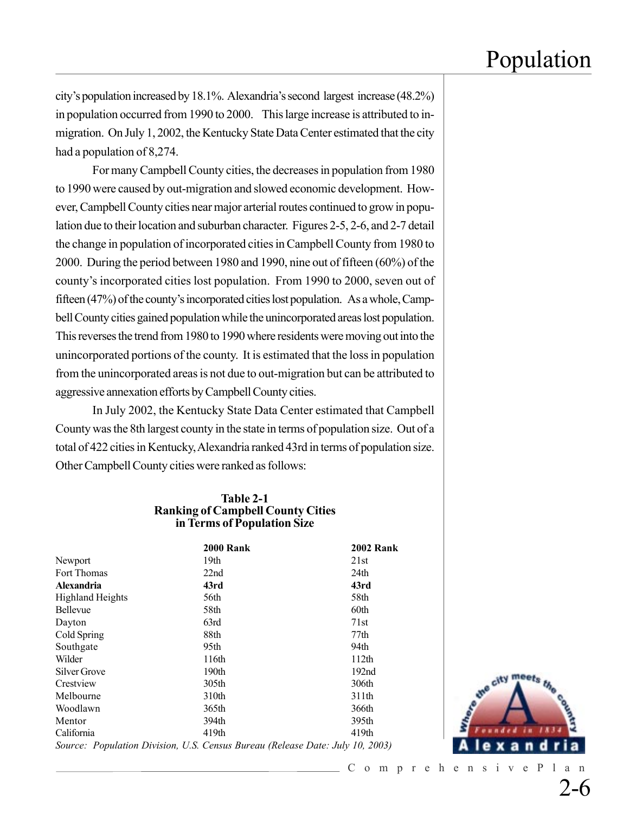city's population increased by 18.1%. Alexandria's second largest increase (48.2%) in population occurred from 1990 to 2000. This large increase is attributed to inmigration. On July 1, 2002, the Kentucky State Data Center estimated that the city had a population of 8,274.

For many Campbell County cities, the decreases in population from 1980 to 1990 were caused by out-migration and slowed economic development. However, Campbell County cities near major arterial routes continued to grow in population due to their location and suburban character. Figures 2-5, 2-6, and 2-7 detail the change in population of incorporated cities in Campbell County from 1980 to 2000. During the period between 1980 and 1990, nine out of fifteen (60%) of the county's incorporated cities lost population. From 1990 to 2000, seven out of fifteen (47%) of the county's incorporated cities lost population. As a whole, Campbell County cities gained population while the unincorporated areas lost population. This reverses the trend from 1980 to 1990 where residents were moving out into the unincorporated portions of the county. It is estimated that the loss in population from the unincorporated areas is not due to out-migration but can be attributed to aggressive annexation efforts by Campbell County cities.

In July 2002, the Kentucky State Data Center estimated that Campbell County was the 8th largest county in the state in terms of population size. Out of a total of 422 cities in Kentucky, Alexandria ranked 43rd in terms of population size. Other Campbell County cities were ranked as follows:

#### **Table 2-1 Ranking of Campbell County Cities in Terms of Population Size**

|                                           | <b>2000 Rank</b>  | <b>2002 Rank</b>                                  |
|-------------------------------------------|-------------------|---------------------------------------------------|
| Newport                                   | 19th              | 21st                                              |
| Fort Thomas                               | 22nd              | 24th                                              |
| <b>Alexandria</b>                         | 43rd              | 43rd                                              |
| <b>Highland Heights</b>                   | 56th              | 58th                                              |
| <b>Bellevue</b>                           | 58th              | 60th                                              |
| Dayton                                    | 63rd              | 71st                                              |
| Cold Spring                               | 88th              | 77th                                              |
| Southgate                                 | 95th              | 94th                                              |
| Wilder                                    | 116th             | 112 <sub>th</sub>                                 |
| Silver Grove                              | 190 <sub>th</sub> | 192 <sub>nd</sub>                                 |
| Crestview                                 | 305th             | 306th                                             |
| Melbourne                                 | 310th             | 311th                                             |
| Woodlawn                                  | 365th             | 366th                                             |
| Mentor                                    | 394th             | 395th                                             |
| California                                | 419th             | 419th                                             |
| $\sim$ $\sim$ $\sim$ $\sim$ $\sim$ $\sim$ | $  -$<br>$\sim$   | $\sim$<br>$\bullet$ $\bullet$ $\bullet$ $\bullet$ |



*Source: Population Division, U.S. Census Bureau (Release Date: July 10, 2003)*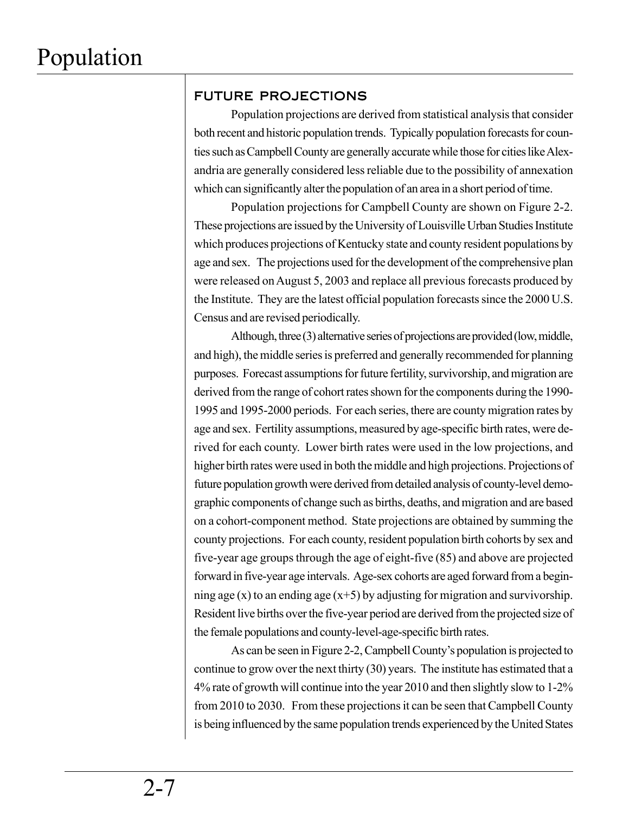### FUTURE PROJECTIONS

Population projections are derived from statistical analysis that consider both recent and historic population trends. Typically population forecasts for counties such as Campbell County are generally accurate while those for cities like Alexandria are generally considered less reliable due to the possibility of annexation which can significantly alter the population of an area in a short period of time.

Population projections for Campbell County are shown on Figure 2-2. These projections are issued by the University of Louisville Urban Studies Institute which produces projections of Kentucky state and county resident populations by age and sex. The projections used for the development of the comprehensive plan were released on August 5, 2003 and replace all previous forecasts produced by the Institute. They are the latest official population forecasts since the 2000 U.S. Census and are revised periodically.

Although, three (3) alternative series of projections are provided (low, middle, and high), the middle series is preferred and generally recommended for planning purposes. Forecast assumptions for future fertility, survivorship, and migration are derived from the range of cohort rates shown for the components during the 1990- 1995 and 1995-2000 periods. For each series, there are county migration rates by age and sex. Fertility assumptions, measured by age-specific birth rates, were derived for each county. Lower birth rates were used in the low projections, and higher birth rates were used in both the middle and high projections. Projections of future population growth were derived from detailed analysis of county-level demographic components of change such as births, deaths, and migration and are based on a cohort-component method. State projections are obtained by summing the county projections. For each county, resident population birth cohorts by sex and five-year age groups through the age of eight-five (85) and above are projected forward in five-year age intervals. Age-sex cohorts are aged forward from a beginning age (x) to an ending age  $(x+5)$  by adjusting for migration and survivorship. Resident live births over the five-year period are derived from the projected size of the female populations and county-level-age-specific birth rates.

As can be seen in Figure 2-2, Campbell County's population is projected to continue to grow over the next thirty (30) years. The institute has estimated that a 4% rate of growth will continue into the year 2010 and then slightly slow to 1-2% from 2010 to 2030. From these projections it can be seen that Campbell County is being influenced by the same population trends experienced by the United States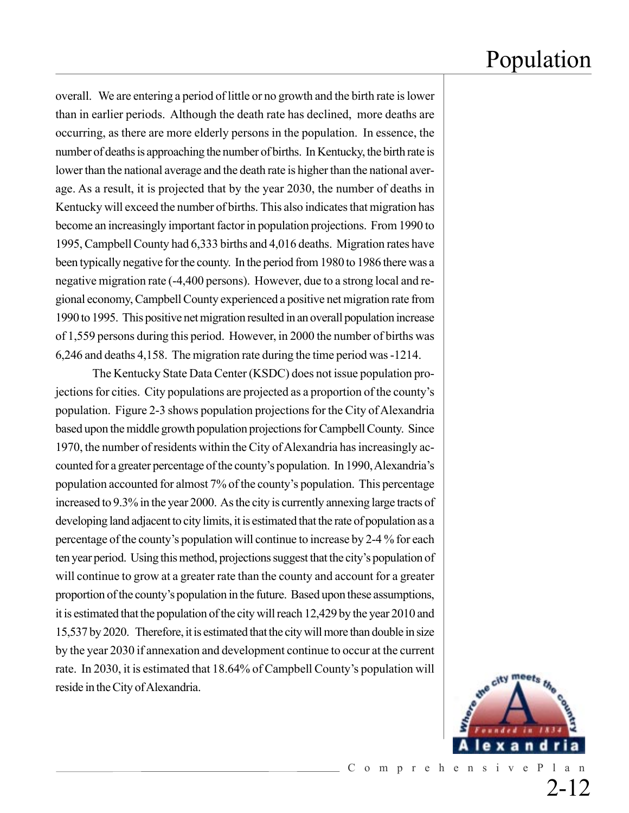overall. We are entering a period of little or no growth and the birth rate is lower than in earlier periods. Although the death rate has declined, more deaths are occurring, as there are more elderly persons in the population. In essence, the number of deaths is approaching the number of births. In Kentucky, the birth rate is lower than the national average and the death rate is higher than the national average. As a result, it is projected that by the year 2030, the number of deaths in Kentucky will exceed the number of births. This also indicates that migration has become an increasingly important factor in population projections. From 1990 to 1995, Campbell County had 6,333 births and 4,016 deaths. Migration rates have been typically negative for the county. In the period from 1980 to 1986 there was a negative migration rate (-4,400 persons). However, due to a strong local and regional economy, Campbell County experienced a positive net migration rate from 1990 to 1995. This positive net migration resulted in an overall population increase of 1,559 persons during this period. However, in 2000 the number of births was 6,246 and deaths 4,158. The migration rate during the time period was -1214.

The Kentucky State Data Center (KSDC) does not issue population projections for cities. City populations are projected as a proportion of the county's population. Figure 2-3 shows population projections for the City of Alexandria based upon the middle growth population projections for Campbell County. Since 1970, the number of residents within the City of Alexandria has increasingly accounted for a greater percentage of the county's population. In 1990, Alexandria's population accounted for almost 7% of the county's population. This percentage increased to 9.3% in the year 2000. As the city is currently annexing large tracts of developing land adjacent to city limits, it is estimated that the rate of population as a percentage of the county's population will continue to increase by 2-4 % for each ten year period. Using this method, projections suggest that the city's population of will continue to grow at a greater rate than the county and account for a greater proportion of the county's population in the future. Based upon these assumptions, it is estimated that the population of the city will reach 12,429 by the year 2010 and 15,537 by 2020. Therefore, it is estimated that the city will more than double in size by the year 2030 if annexation and development continue to occur at the current rate. In 2030, it is estimated that 18.64% of Campbell County's population will reside in the City of Alexandria.



2-12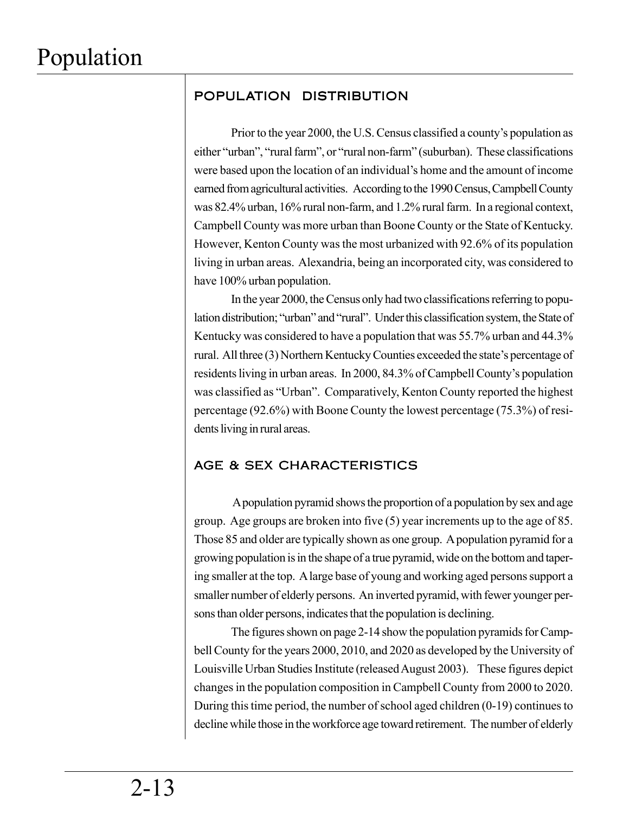### POPULATION DISTRIBUTION

Prior to the year 2000, the U.S. Census classified a county's population as either "urban", "rural farm", or "rural non-farm" (suburban). These classifications were based upon the location of an individual's home and the amount of income earned from agricultural activities. According to the 1990 Census, Campbell County was 82.4% urban, 16% rural non-farm, and 1.2% rural farm. In a regional context, Campbell County was more urban than Boone County or the State of Kentucky. However, Kenton County was the most urbanized with 92.6% of its population living in urban areas. Alexandria, being an incorporated city, was considered to have 100% urban population.

In the year 2000, the Census only had two classifications referring to population distribution; "urban" and "rural". Under this classification system, the State of Kentucky was considered to have a population that was 55.7% urban and 44.3% rural. All three (3) Northern Kentucky Counties exceeded the state's percentage of residents living in urban areas. In 2000, 84.3% of Campbell County's population was classified as "Urban". Comparatively, Kenton County reported the highest percentage (92.6%) with Boone County the lowest percentage (75.3%) of residents living in rural areas.

#### AGE & SEX CHARACTERISTICS

 A population pyramid shows the proportion of a population by sex and age group. Age groups are broken into five (5) year increments up to the age of 85. Those 85 and older are typically shown as one group. A population pyramid for a growing population is in the shape of a true pyramid, wide on the bottom and tapering smaller at the top. A large base of young and working aged persons support a smaller number of elderly persons. An inverted pyramid, with fewer younger persons than older persons, indicates that the population is declining.

The figures shown on page 2-14 show the population pyramids for Campbell County for the years 2000, 2010, and 2020 as developed by the University of Louisville Urban Studies Institute (released August 2003). These figures depict changes in the population composition in Campbell County from 2000 to 2020. During this time period, the number of school aged children (0-19) continues to decline while those in the workforce age toward retirement. The number of elderly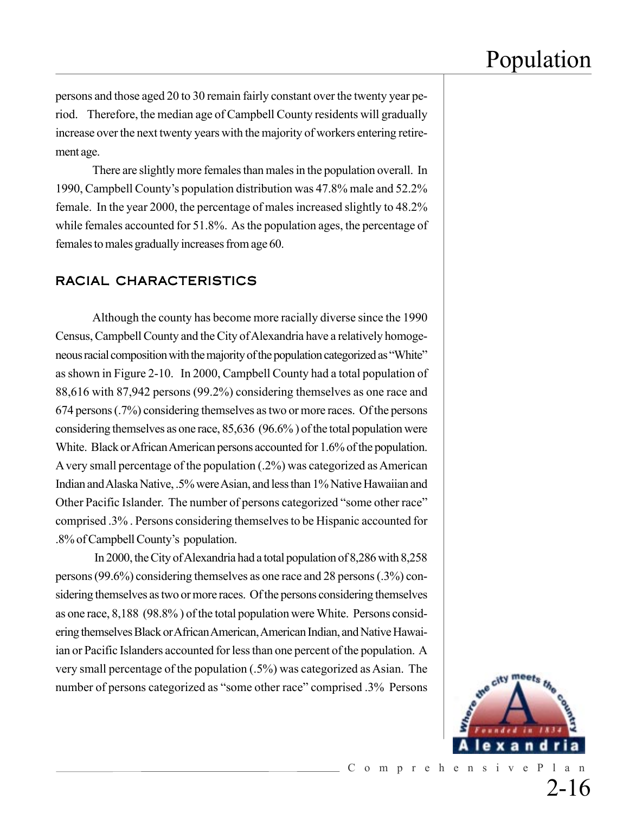persons and those aged 20 to 30 remain fairly constant over the twenty year period. Therefore, the median age of Campbell County residents will gradually increase over the next twenty years with the majority of workers entering retirement age.

There are slightly more females than males in the population overall. In 1990, Campbell County's population distribution was 47.8% male and 52.2% female. In the year 2000, the percentage of males increased slightly to 48.2% while females accounted for 51.8%. As the population ages, the percentage of females to males gradually increases from age 60.

#### RACIAL CHARACTERISTICS

Although the county has become more racially diverse since the 1990 Census, Campbell County and the City of Alexandria have a relatively homogeneous racial composition with the majority of the population categorized as "White" as shown in Figure 2-10. In 2000, Campbell County had a total population of 88,616 with 87,942 persons (99.2%) considering themselves as one race and 674 persons (.7%) considering themselves as two or more races. Of the persons considering themselves as one race, 85,636 (96.6% ) of the total population were White. Black or African American persons accounted for 1.6% of the population. A very small percentage of the population (.2%) was categorized as American Indian and Alaska Native, .5% were Asian, and less than 1% Native Hawaiian and Other Pacific Islander. The number of persons categorized "some other race" comprised .3% . Persons considering themselves to be Hispanic accounted for .8% of Campbell County's population.

 In 2000, the City of Alexandria had a total population of 8,286 with 8,258 persons (99.6%) considering themselves as one race and 28 persons (.3%) considering themselves as two or more races. Of the persons considering themselves as one race, 8,188 (98.8% ) of the total population were White. Persons considering themselves Black or African American, American Indian, and Native Hawaiian or Pacific Islanders accounted for less than one percent of the population. A very small percentage of the population (.5%) was categorized as Asian. The number of persons categorized as "some other race" comprised .3% Persons



2-16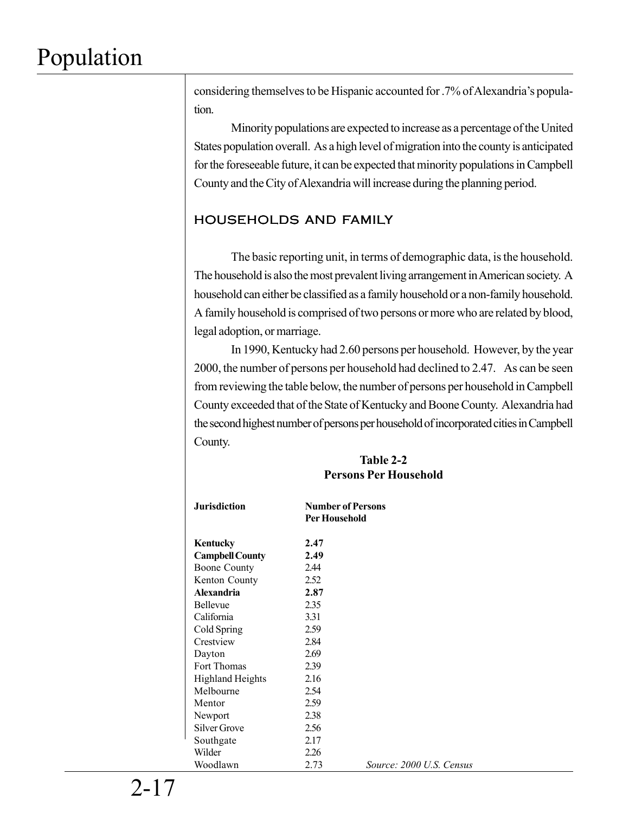considering themselves to be Hispanic accounted for .7% of Alexandria's population.

Minority populations are expected to increase as a percentage of the United States population overall. As a high level of migration into the county is anticipated for the foreseeable future, it can be expected that minority populations in Campbell County and the City of Alexandria will increase during the planning period.

### HOUSEHOLDS AND FAMILY

The basic reporting unit, in terms of demographic data, is the household. The household is also the most prevalent living arrangement in American society. A household can either be classified as a family household or a non-family household. A family household is comprised of two persons or more who are related by blood, legal adoption, or marriage.

In 1990, Kentucky had 2.60 persons per household. However, by the year 2000, the number of persons per household had declined to 2.47. As can be seen from reviewing the table below, the number of persons per household in Campbell County exceeded that of the State of Kentucky and Boone County. Alexandria had the second highest number of persons per household of incorporated cities in Campbell County.

#### **Table 2-2 Persons Per Household**

| <b>Jurisdiction</b>     | <b>Per Household</b> | <b>Number of Persons</b> |
|-------------------------|----------------------|--------------------------|
| Kentucky                | 2.47                 |                          |
| <b>Campbell County</b>  | 2.49                 |                          |
| <b>Boone County</b>     | 2.44                 |                          |
| Kenton County           | 2.52                 |                          |
| Alexandria              | 2.87                 |                          |
| Bellevue                | 2.35                 |                          |
| California              | 3.31                 |                          |
| Cold Spring             | 2.59                 |                          |
| Crestview               | 2.84                 |                          |
| Dayton                  | 2.69                 |                          |
| Fort Thomas             | 2.39                 |                          |
| <b>Highland Heights</b> | 2.16                 |                          |
| Melbourne               | 2.54                 |                          |
| Mentor                  | 2.59                 |                          |
| Newport                 | 2.38                 |                          |
| Silver Grove            | 2.56                 |                          |
| Southgate               | 2.17                 |                          |
| Wilder                  | 2.26                 |                          |
| Woodlawn                | 2.73                 | Source: 2000 U.S. Census |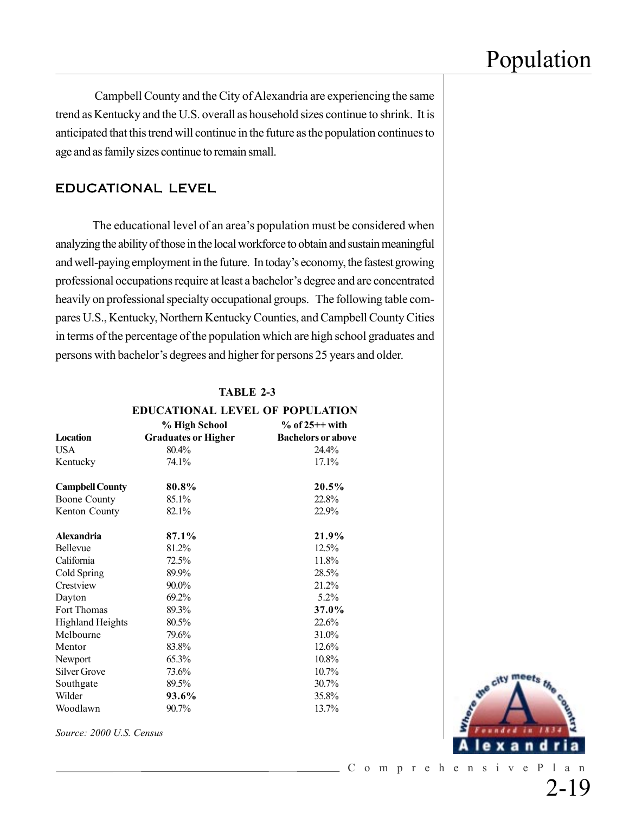Campbell County and the City of Alexandria are experiencing the same trend as Kentucky and the U.S. overall as household sizes continue to shrink. It is anticipated that this trend will continue in the future as the population continues to age and as family sizes continue to remain small.

### EDUCATIONAL LEVEL

The educational level of an area's population must be considered when analyzing the ability of those in the local workforce to obtain and sustain meaningful and well-paying employment in the future. In today's economy, the fastest growing professional occupations require at least a bachelor's degree and are concentrated heavily on professional specialty occupational groups. The following table compares U.S., Kentucky, Northern Kentucky Counties, and Campbell County Cities in terms of the percentage of the population which are high school graduates and persons with bachelor's degrees and higher for persons 25 years and older.

| TABLE 2-3                        |  |  |  |
|----------------------------------|--|--|--|
| EDIICATIONAL LEVEL OF DODULATION |  |  |  |

| EDUCATIONAL LEVEL OF FOFULATION |                            |                           |  |  |
|---------------------------------|----------------------------|---------------------------|--|--|
|                                 | % High School              | $%$ of 25++ with          |  |  |
| Location                        | <b>Graduates or Higher</b> | <b>Bachelors or above</b> |  |  |
| <b>USA</b>                      | 80.4%                      | 24.4%                     |  |  |
| Kentucky                        | 74.1%                      | 17.1%                     |  |  |
| <b>Campbell County</b>          | 80.8%                      | $20.5\%$                  |  |  |
| <b>Boone County</b>             | 85.1%                      | 22.8%                     |  |  |
| Kenton County                   | 82.1%                      | 22.9%                     |  |  |
| <b>Alexandria</b>               | 87.1%                      | 21.9%                     |  |  |
| Bellevue                        | 81.2%                      | 12.5%                     |  |  |
| California                      | 72.5%                      | 11.8%                     |  |  |
| Cold Spring                     | 89.9%                      | 28.5%                     |  |  |
| Crestview                       | 90.0%                      | 21.2%                     |  |  |
| Dayton                          | 69.2%                      | 5.2%                      |  |  |
| Fort Thomas                     | 89.3%                      | 37.0%                     |  |  |
| <b>Highland Heights</b>         | 80.5%                      | 22.6%                     |  |  |
| Melbourne                       | 79.6%                      | 31.0%                     |  |  |
| Mentor                          | 83.8%                      | 12.6%                     |  |  |
| Newport                         | 65.3%                      | 10.8%                     |  |  |
| Silver Grove                    | 73.6%                      | 10.7%                     |  |  |
| Southgate                       | 89.5%                      | 30.7%                     |  |  |
| Wilder                          | 93.6%                      | 35.8%                     |  |  |
| Woodlawn                        | 90.7%                      | 13.7%                     |  |  |
|                                 |                            |                           |  |  |